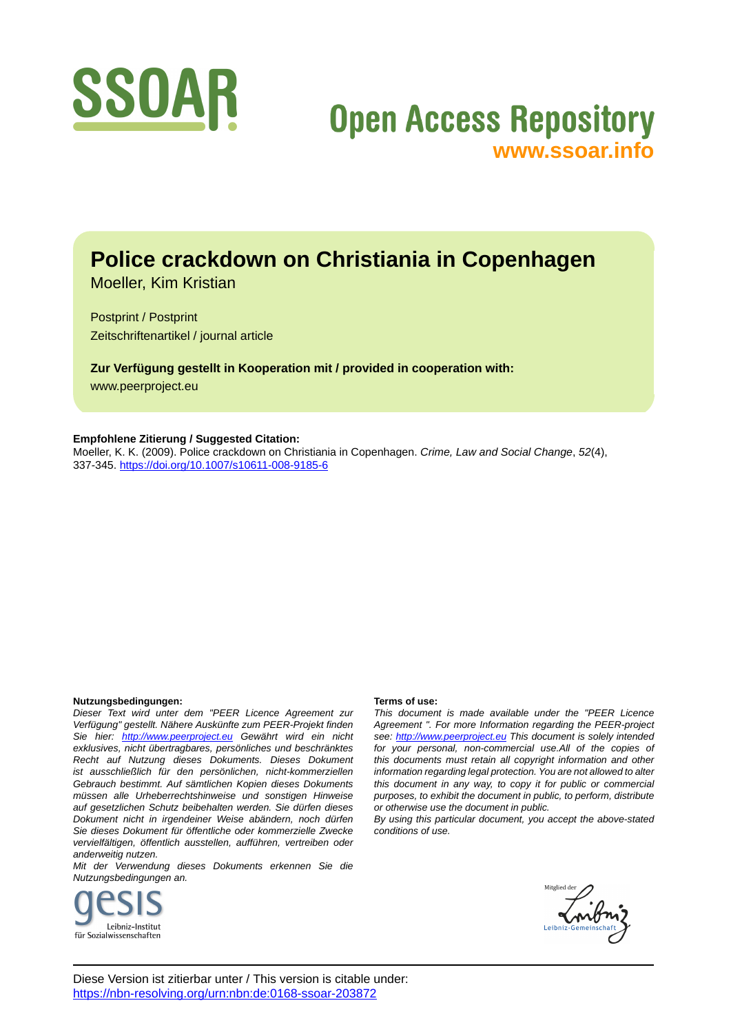

# **Open Access Repository [www.ssoar.info](http://www.ssoar.info)**

## **Police crackdown on Christiania in Copenhagen**

Moeller, Kim Kristian

Postprint / Postprint Zeitschriftenartikel / journal article

**Zur Verfügung gestellt in Kooperation mit / provided in cooperation with:** www.peerproject.eu

#### **Empfohlene Zitierung / Suggested Citation:**

Moeller, K. K. (2009). Police crackdown on Christiania in Copenhagen. *Crime, Law and Social Change*, *52*(4), 337-345. <https://doi.org/10.1007/s10611-008-9185-6>

#### **Nutzungsbedingungen:**

*Dieser Text wird unter dem "PEER Licence Agreement zur Verfügung" gestellt. Nähere Auskünfte zum PEER-Projekt finden Sie hier: <http://www.peerproject.eu>Gewährt wird ein nicht exklusives, nicht übertragbares, persönliches und beschränktes Recht auf Nutzung dieses Dokuments. Dieses Dokument ist ausschließlich für den persönlichen, nicht-kommerziellen Gebrauch bestimmt. Auf sämtlichen Kopien dieses Dokuments müssen alle Urheberrechtshinweise und sonstigen Hinweise auf gesetzlichen Schutz beibehalten werden. Sie dürfen dieses Dokument nicht in irgendeiner Weise abändern, noch dürfen Sie dieses Dokument für öffentliche oder kommerzielle Zwecke vervielfältigen, öffentlich ausstellen, aufführen, vertreiben oder anderweitig nutzen.*

*Mit der Verwendung dieses Dokuments erkennen Sie die Nutzungsbedingungen an.*



#### **Terms of use:**

*This document is made available under the "PEER Licence Agreement ". For more Information regarding the PEER-project see:<http://www.peerproject.eu>This document is solely intended for your personal, non-commercial use.All of the copies of this documents must retain all copyright information and other information regarding legal protection. You are not allowed to alter this document in any way, to copy it for public or commercial purposes, to exhibit the document in public, to perform, distribute or otherwise use the document in public.*

*By using this particular document, you accept the above-stated conditions of use.*

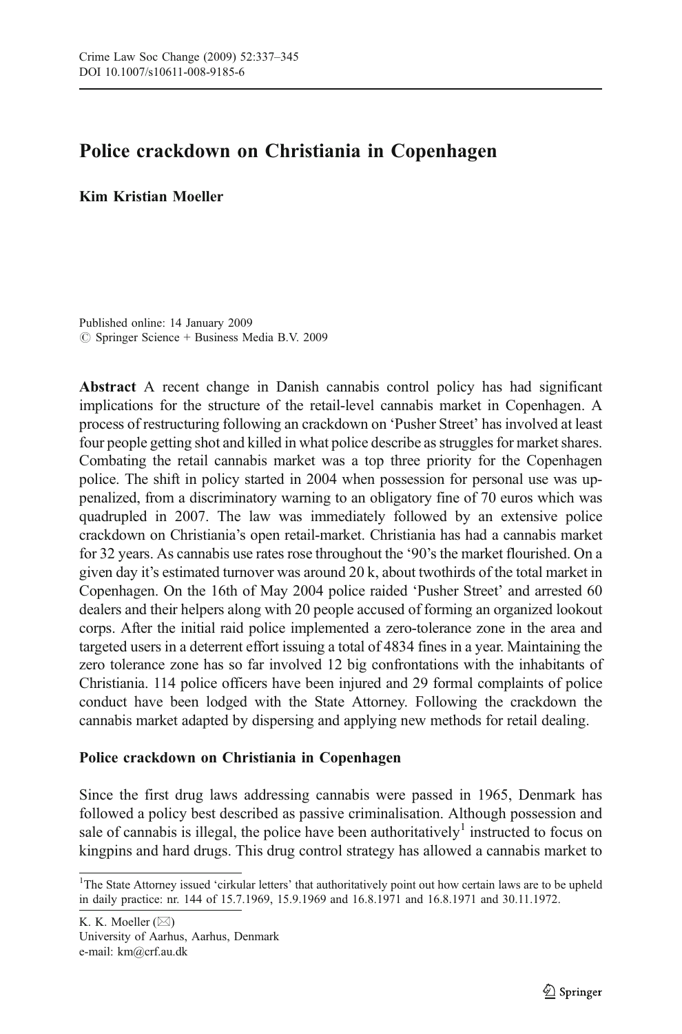### Police crackdown on Christiania in Copenhagen

#### Kim Kristian Moeller

Published online: 14 January 2009  $\circledcirc$  Springer Science + Business Media B.V. 2009

Abstract A recent change in Danish cannabis control policy has had significant implications for the structure of the retail-level cannabis market in Copenhagen. A process of restructuring following an crackdown on 'Pusher Street' has involved at least four people getting shot and killed in what police describe as struggles for market shares. Combating the retail cannabis market was a top three priority for the Copenhagen police. The shift in policy started in 2004 when possession for personal use was uppenalized, from a discriminatory warning to an obligatory fine of 70 euros which was quadrupled in 2007. The law was immediately followed by an extensive police crackdown on Christiania's open retail-market. Christiania has had a cannabis market for 32 years. As cannabis use rates rose throughout the '90's the market flourished. On a given day it's estimated turnover was around 20 k, about twothirds of the total market in Copenhagen. On the 16th of May 2004 police raided 'Pusher Street' and arrested 60 dealers and their helpers along with 20 people accused of forming an organized lookout corps. After the initial raid police implemented a zero-tolerance zone in the area and targeted users in a deterrent effort issuing a total of 4834 fines in a year. Maintaining the zero tolerance zone has so far involved 12 big confrontations with the inhabitants of Christiania. 114 police officers have been injured and 29 formal complaints of police conduct have been lodged with the State Attorney. Following the crackdown the cannabis market adapted by dispersing and applying new methods for retail dealing.

#### Police crackdown on Christiania in Copenhagen

Since the first drug laws addressing cannabis were passed in 1965, Denmark has followed a policy best described as passive criminalisation. Although possession and sale of cannabis is illegal, the police have been authoritatively<sup>1</sup> instructed to focus on kingpins and hard drugs. This drug control strategy has allowed a cannabis market to

K. K. Moeller (*\**) University of Aarhus, Aarhus, Denmark e-mail: km@crf.au.dk

<sup>&</sup>lt;sup>1</sup>The State Attorney issued 'cirkular letters' that authoritatively point out how certain laws are to be upheld in daily practice: nr. 144 of 15.7.1969, 15.9.1969 and 16.8.1971 and 16.8.1971 and 30.11.1972.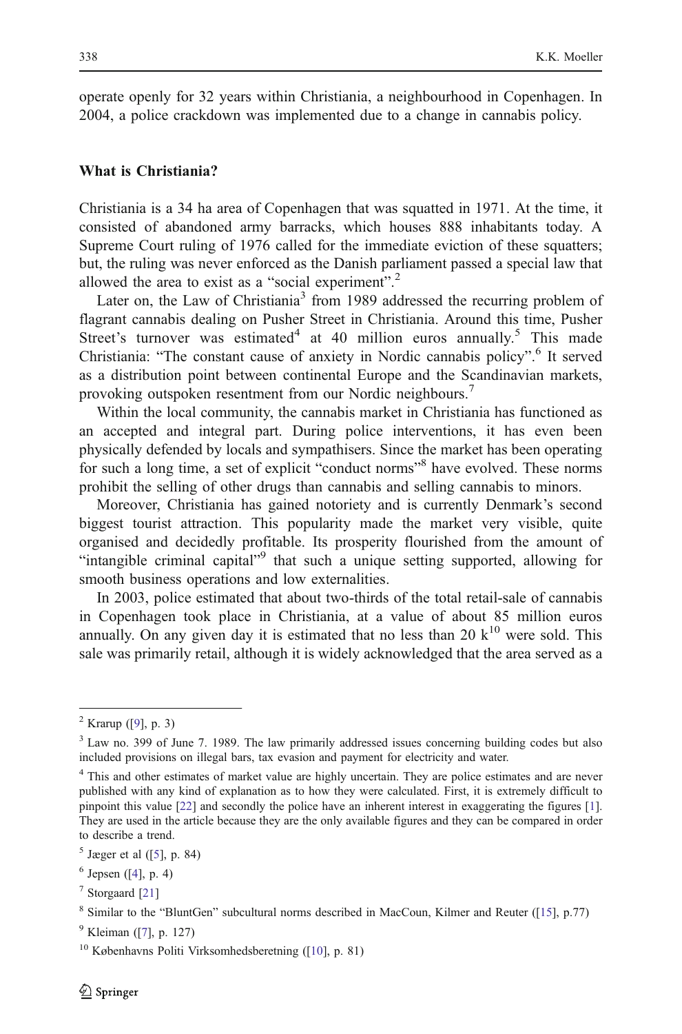operate openly for 32 years within Christiania, a neighbourhood in Copenhagen. In 2004, a police crackdown was implemented due to a change in cannabis policy.

#### What is Christiania?

Christiania is a 34 ha area of Copenhagen that was squatted in 1971. At the time, it consisted of abandoned army barracks, which houses 888 inhabitants today. A Supreme Court ruling of 1976 called for the immediate eviction of these squatters; but, the ruling was never enforced as the Danish parliament passed a special law that allowed the area to exist as a "social experiment".<sup>2</sup>

Later on, the Law of Christiania<sup>3</sup> from 1989 addressed the recurring problem of flagrant cannabis dealing on Pusher Street in Christiania. Around this time, Pusher Street's turnover was estimated<sup>4</sup> at 40 million euros annually.<sup>5</sup> This made Christiania: "The constant cause of anxiety in Nordic cannabis policy". <sup>6</sup> It served as a distribution point between continental Europe and the Scandinavian markets, provoking outspoken resentment from our Nordic neighbours.<sup>7</sup>

Within the local community, the cannabis market in Christiania has functioned as an accepted and integral part. During police interventions, it has even been physically defended by locals and sympathisers. Since the market has been operating for such a long time, a set of explicit "conduct norms" have evolved. These norms prohibit the selling of other drugs than cannabis and selling cannabis to minors.

Moreover, Christiania has gained notoriety and is currently Denmark's second biggest tourist attraction. This popularity made the market very visible, quite organised and decidedly profitable. Its prosperity flourished from the amount of "intangible criminal capital"<sup>9</sup> that such a unique setting supported, allowing for smooth business operations and low externalities.

In 2003, police estimated that about two-thirds of the total retail-sale of cannabis in Copenhagen took place in Christiania, at a value of about 85 million euros annually. On any given day it is estimated that no less than 20  $k^{10}$  were sold. This sale was primarily retail, although it is widely acknowledged that the area served as a

 $^{2}$  Krarup ([\[9](#page-8-0)], p. 3)

<sup>&</sup>lt;sup>3</sup> Law no. 399 of June 7. 1989. The law primarily addressed issues concerning building codes but also included provisions on illegal bars, tax evasion and payment for electricity and water.

<sup>&</sup>lt;sup>4</sup> This and other estimates of market value are highly uncertain. They are police estimates and are never published with any kind of explanation as to how they were calculated. First, it is extremely difficult to pinpoint this value [[22\]](#page-9-0) and secondly the police have an inherent interest in exaggerating the figures [[1\]](#page-8-0). They are used in the article because they are the only available figures and they can be compared in order to describe a trend.

 $<sup>5</sup>$  Jæger et al ([\[5\]](#page-8-0), p. 84)</sup>

 $6$  Jepsen ([\[4](#page-8-0)], p. 4)

 $<sup>7</sup>$  Storgaard [\[21\]](#page-9-0)</sup>

<sup>8</sup> Similar to the "BluntGen" subcultural norms described in MacCoun, Kilmer and Reuter ([\[15](#page-9-0)], p.77)

 $^{9}$  Kleiman ([\[7](#page-8-0)], p. 127)

<sup>10</sup> Københavns Politi Virksomhedsberetning ([\[10](#page-8-0)], p. 81)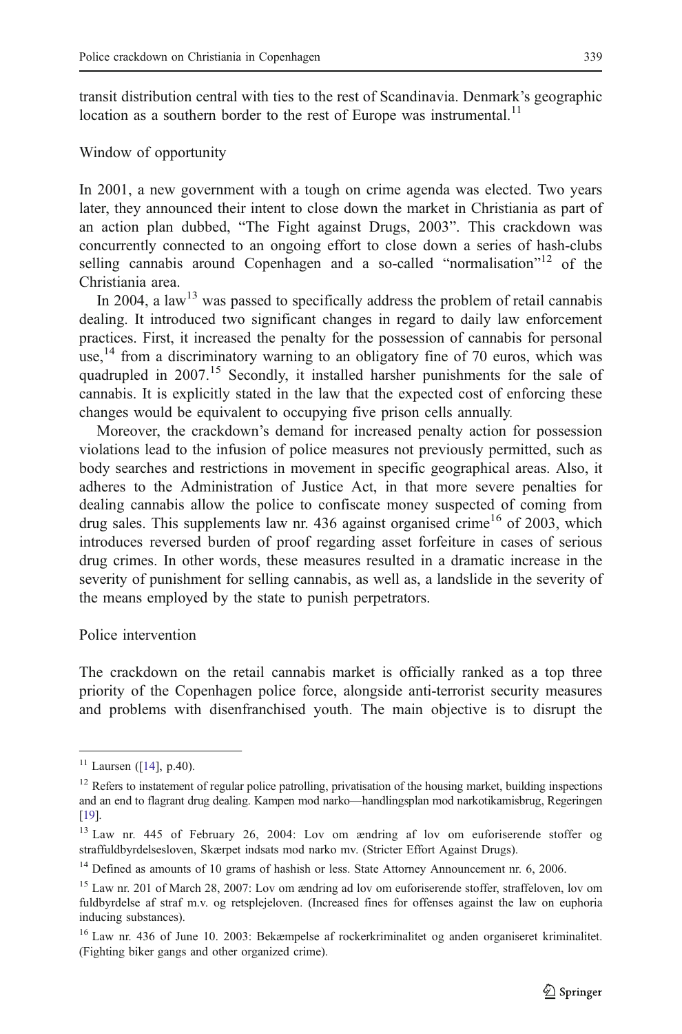transit distribution central with ties to the rest of Scandinavia. Denmark's geographic location as a southern border to the rest of Europe was instrumental.<sup>11</sup>

#### Window of opportunity

In 2001, a new government with a tough on crime agenda was elected. Two years later, they announced their intent to close down the market in Christiania as part of an action plan dubbed, "The Fight against Drugs, 2003". This crackdown was concurrently connected to an ongoing effort to close down a series of hash-clubs selling cannabis around Copenhagen and a so-called "normalisation"<sup>12</sup> of the Christiania area.

In 2004, a law<sup>13</sup> was passed to specifically address the problem of retail cannabis dealing. It introduced two significant changes in regard to daily law enforcement practices. First, it increased the penalty for the possession of cannabis for personal use,<sup>14</sup> from a discriminatory warning to an obligatory fine of 70 euros, which was quadrupled in 2007.<sup>15</sup> Secondly, it installed harsher punishments for the sale of cannabis. It is explicitly stated in the law that the expected cost of enforcing these changes would be equivalent to occupying five prison cells annually.

Moreover, the crackdown's demand for increased penalty action for possession violations lead to the infusion of police measures not previously permitted, such as body searches and restrictions in movement in specific geographical areas. Also, it adheres to the Administration of Justice Act, in that more severe penalties for dealing cannabis allow the police to confiscate money suspected of coming from drug sales. This supplements law nr. 436 against organised crime<sup>16</sup> of 2003, which introduces reversed burden of proof regarding asset forfeiture in cases of serious drug crimes. In other words, these measures resulted in a dramatic increase in the severity of punishment for selling cannabis, as well as, a landslide in the severity of the means employed by the state to punish perpetrators.

#### Police intervention

The crackdown on the retail cannabis market is officially ranked as a top three priority of the Copenhagen police force, alongside anti-terrorist security measures and problems with disenfranchised youth. The main objective is to disrupt the

 $11$  Laursen ([\[14](#page-8-0)], p.40).

<sup>&</sup>lt;sup>12</sup> Refers to instatement of regular police patrolling, privatisation of the housing market, building inspections and an end to flagrant drug dealing. Kampen mod narko—handlingsplan mod narkotikamisbrug, Regeringen [[19](#page-9-0)].

<sup>13</sup> Law nr. 445 of February 26, 2004: Lov om ændring af lov om euforiserende stoffer og straffuldbyrdelsesloven, Skærpet indsats mod narko mv. (Stricter Effort Against Drugs).

 $14$  Defined as amounts of 10 grams of hashish or less. State Attorney Announcement nr. 6, 2006.

<sup>15</sup> Law nr. 201 of March 28, 2007: Lov om ændring ad lov om euforiserende stoffer, straffeloven, lov om fuldbyrdelse af straf m.v. og retsplejeloven. (Increased fines for offenses against the law on euphoria inducing substances).

<sup>&</sup>lt;sup>16</sup> Law nr. 436 of June 10. 2003: Bekæmpelse af rockerkriminalitet og anden organiseret kriminalitet. (Fighting biker gangs and other organized crime).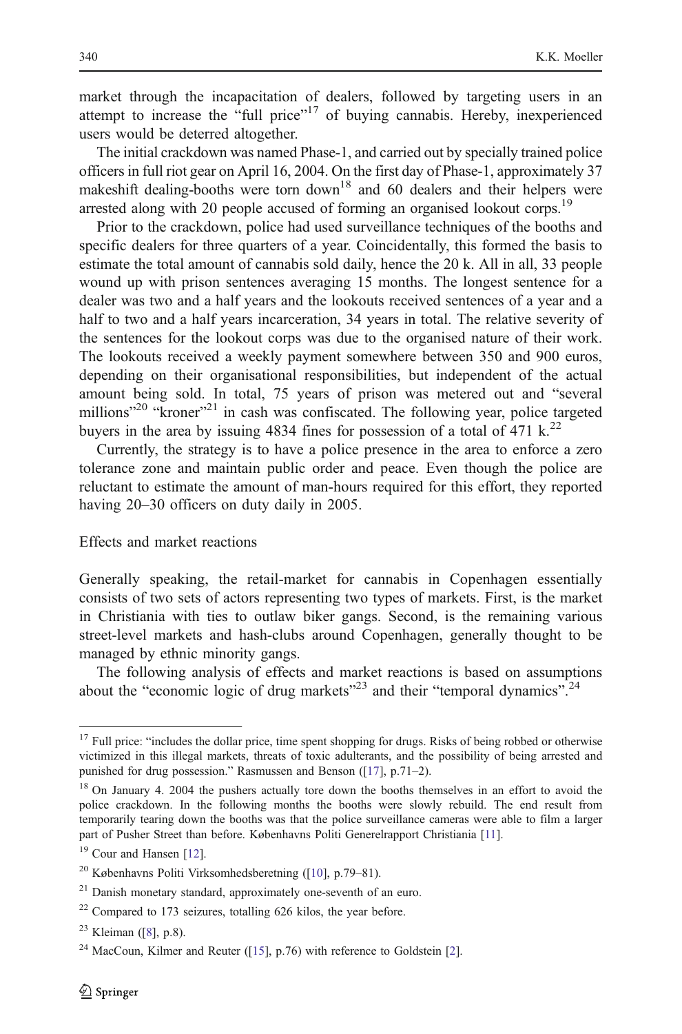market through the incapacitation of dealers, followed by targeting users in an attempt to increase the "full price"<sup>17</sup> of buying cannabis. Hereby, inexperienced users would be deterred altogether.

The initial crackdown was named Phase-1, and carried out by specially trained police officers in full riot gear on April 16, 2004. On the first day of Phase-1, approximately 37 makeshift dealing-booths were torn down<sup>18</sup> and 60 dealers and their helpers were arrested along with 20 people accused of forming an organised lookout corps.<sup>19</sup>

Prior to the crackdown, police had used surveillance techniques of the booths and specific dealers for three quarters of a year. Coincidentally, this formed the basis to estimate the total amount of cannabis sold daily, hence the 20 k. All in all, 33 people wound up with prison sentences averaging 15 months. The longest sentence for a dealer was two and a half years and the lookouts received sentences of a year and a half to two and a half years incarceration, 34 years in total. The relative severity of the sentences for the lookout corps was due to the organised nature of their work. The lookouts received a weekly payment somewhere between 350 and 900 euros, depending on their organisational responsibilities, but independent of the actual amount being sold. In total, 75 years of prison was metered out and "several millions"<sup>20</sup> "kroner"<sup>21</sup> in cash was confiscated. The following year, police targeted buyers in the area by issuing 4834 fines for possession of a total of 471 k.<sup>22</sup>

Currently, the strategy is to have a police presence in the area to enforce a zero tolerance zone and maintain public order and peace. Even though the police are reluctant to estimate the amount of man-hours required for this effort, they reported having 20–30 officers on duty daily in 2005.

#### Effects and market reactions

Generally speaking, the retail-market for cannabis in Copenhagen essentially consists of two sets of actors representing two types of markets. First, is the market in Christiania with ties to outlaw biker gangs. Second, is the remaining various street-level markets and hash-clubs around Copenhagen, generally thought to be managed by ethnic minority gangs.

The following analysis of effects and market reactions is based on assumptions about the "economic logic of drug markets"<sup>23</sup> and their "temporal dynamics".<sup>24</sup>

<sup>&</sup>lt;sup>17</sup> Full price: "includes the dollar price, time spent shopping for drugs. Risks of being robbed or otherwise victimized in this illegal markets, threats of toxic adulterants, and the possibility of being arrested and punished for drug possession." Rasmussen and Benson ([[17\]](#page-9-0), p.71–2).

<sup>&</sup>lt;sup>18</sup> On January 4. 2004 the pushers actually tore down the booths themselves in an effort to avoid the police crackdown. In the following months the booths were slowly rebuild. The end result from temporarily tearing down the booths was that the police surveillance cameras were able to film a larger part of Pusher Street than before. Københavns Politi Generelrapport Christiania [\[11](#page-8-0)].

<sup>&</sup>lt;sup>19</sup> Cour and Hansen [[12\]](#page-8-0).

<sup>20</sup> Københavns Politi Virksomhedsberetning ([\[10](#page-8-0)], p.79–81).

<sup>&</sup>lt;sup>21</sup> Danish monetary standard, approximately one-seventh of an euro.

<sup>22</sup> Compared to 173 seizures, totalling 626 kilos, the year before.

 $23$  Kleiman ([\[8](#page-8-0)], p.8).

<sup>&</sup>lt;sup>24</sup> MacCoun, Kilmer and Reuter ([[15\]](#page-9-0), p.76) with reference to Goldstein [[2\]](#page-8-0).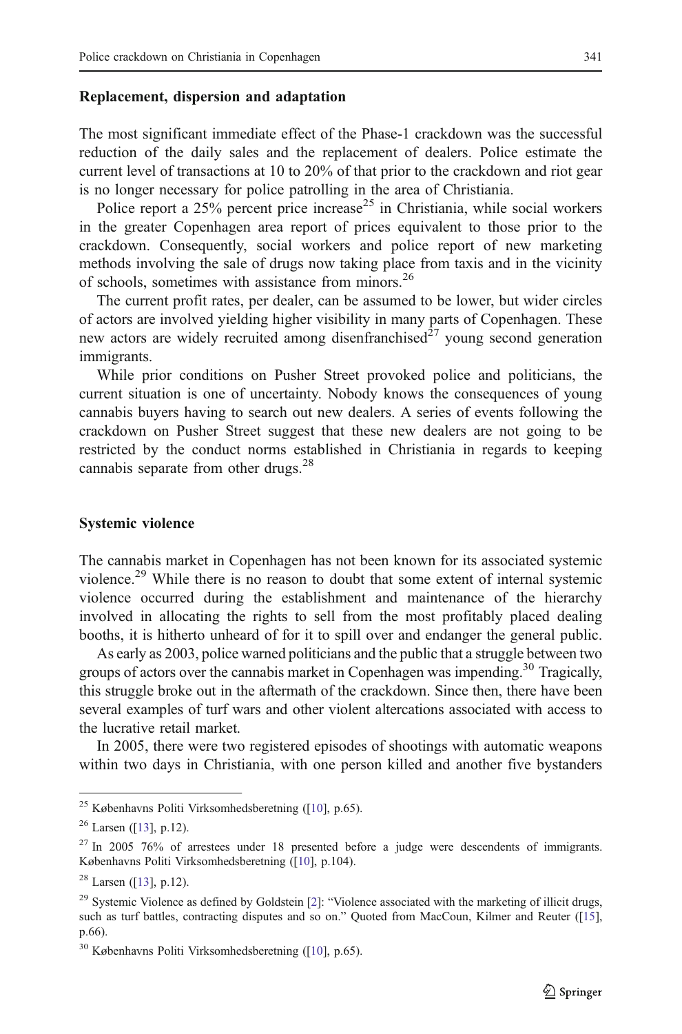#### Replacement, dispersion and adaptation

The most significant immediate effect of the Phase-1 crackdown was the successful reduction of the daily sales and the replacement of dealers. Police estimate the current level of transactions at 10 to 20% of that prior to the crackdown and riot gear is no longer necessary for police patrolling in the area of Christiania.

Police report a  $25\%$  percent price increase<sup>25</sup> in Christiania, while social workers in the greater Copenhagen area report of prices equivalent to those prior to the crackdown. Consequently, social workers and police report of new marketing methods involving the sale of drugs now taking place from taxis and in the vicinity of schools, sometimes with assistance from minors.<sup>26</sup>

The current profit rates, per dealer, can be assumed to be lower, but wider circles of actors are involved yielding higher visibility in many parts of Copenhagen. These new actors are widely recruited among disenfranchised $\hat{z}^7$  young second generation immigrants.

While prior conditions on Pusher Street provoked police and politicians, the current situation is one of uncertainty. Nobody knows the consequences of young cannabis buyers having to search out new dealers. A series of events following the crackdown on Pusher Street suggest that these new dealers are not going to be restricted by the conduct norms established in Christiania in regards to keeping cannabis separate from other drugs.<sup>28</sup>

#### Systemic violence

The cannabis market in Copenhagen has not been known for its associated systemic violence.<sup>29</sup> While there is no reason to doubt that some extent of internal systemic violence occurred during the establishment and maintenance of the hierarchy involved in allocating the rights to sell from the most profitably placed dealing booths, it is hitherto unheard of for it to spill over and endanger the general public.

As early as 2003, police warned politicians and the public that a struggle between two groups of actors over the cannabis market in Copenhagen was impending.<sup>30</sup> Tragically, this struggle broke out in the aftermath of the crackdown. Since then, there have been several examples of turf wars and other violent altercations associated with access to the lucrative retail market.

In 2005, there were two registered episodes of shootings with automatic weapons within two days in Christiania, with one person killed and another five bystanders

<sup>25</sup> Københavns Politi Virksomhedsberetning ([\[10](#page-8-0)], p.65).

 $26$  Larsen ([\[13](#page-8-0)], p.12).

<sup>&</sup>lt;sup>27</sup> In 2005 76% of arrestees under 18 presented before a judge were descendents of immigrants. Københavns Politi Virksomhedsberetning ([[10\]](#page-8-0), p.104).

 $28$  Larsen ([\[13](#page-8-0)], p.12).

<sup>&</sup>lt;sup>[2](#page-8-0)9</sup> Systemic Violence as defined by Goldstein [2]: "Violence associated with the marketing of illicit drugs, such as turf battles, contracting disputes and so on." Quoted from MacCoun, Kilmer and Reuter ([[15\]](#page-9-0), p.66).

<sup>30</sup> Københavns Politi Virksomhedsberetning ([\[10](#page-8-0)], p.65).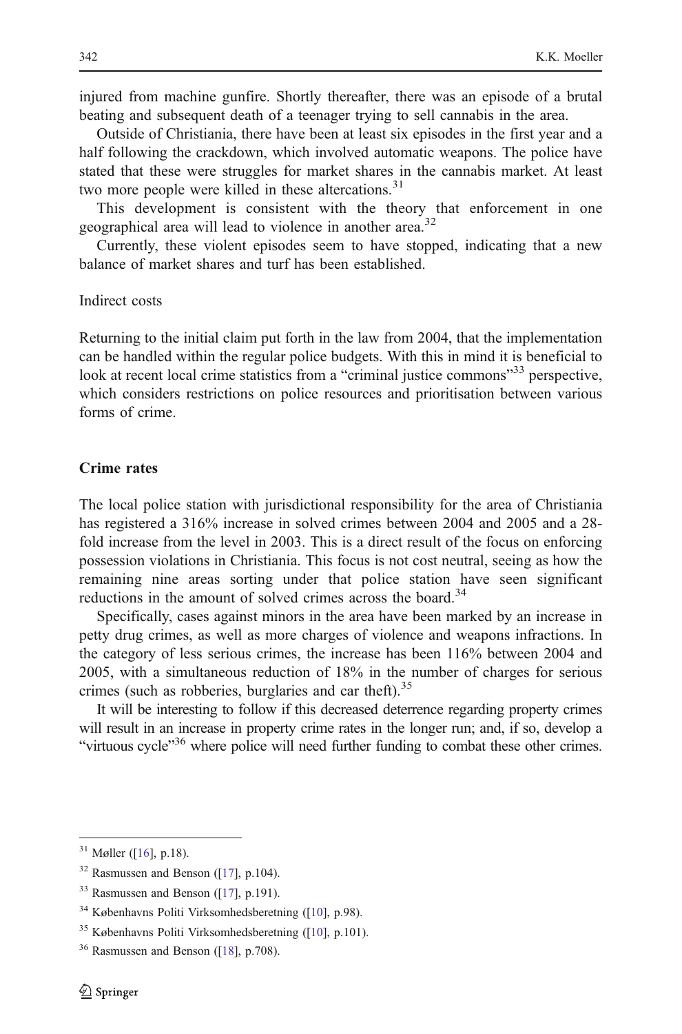injured from machine gunfire. Shortly thereafter, there was an episode of a brutal beating and subsequent death of a teenager trying to sell cannabis in the area.

Outside of Christiania, there have been at least six episodes in the first year and a half following the crackdown, which involved automatic weapons. The police have stated that these were struggles for market shares in the cannabis market. At least two more people were killed in these altercations.<sup>31</sup>

This development is consistent with the theory that enforcement in one geographical area will lead to violence in another area.<sup>32</sup>

Currently, these violent episodes seem to have stopped, indicating that a new balance of market shares and turf has been established.

Indirect costs

Returning to the initial claim put forth in the law from 2004, that the implementation can be handled within the regular police budgets. With this in mind it is beneficial to look at recent local crime statistics from a "criminal justice commons"<sup>33</sup> perspective, which considers restrictions on police resources and prioritisation between various forms of crime.

#### Crime rates

The local police station with jurisdictional responsibility for the area of Christiania has registered a 316% increase in solved crimes between 2004 and 2005 and a 28 fold increase from the level in 2003. This is a direct result of the focus on enforcing possession violations in Christiania. This focus is not cost neutral, seeing as how the remaining nine areas sorting under that police station have seen significant reductions in the amount of solved crimes across the board.<sup>34</sup>

Specifically, cases against minors in the area have been marked by an increase in petty drug crimes, as well as more charges of violence and weapons infractions. In the category of less serious crimes, the increase has been 116% between 2004 and 2005, with a simultaneous reduction of 18% in the number of charges for serious crimes (such as robberies, burglaries and car theft). $35$ 

It will be interesting to follow if this decreased deterrence regarding property crimes will result in an increase in property crime rates in the longer run; and, if so, develop a "virtuous cycle"<sup>36</sup> where police will need further funding to combat these other crimes.

 $31$  Møller ([\[16](#page-9-0)], p.18).

 $32$  Rasmussen and Benson ([\[17\]](#page-9-0), p.104).

 $33$  Rasmussen and Benson ([\[17\]](#page-9-0), p.191).

<sup>34</sup> Københavns Politi Virksomhedsberetning ([\[10](#page-8-0)], p.98).

<sup>35</sup> Københavns Politi Virksomhedsberetning ([\[10](#page-8-0)], p.101).

 $36$  Rasmussen and Benson ([\[18\]](#page-9-0), p.708).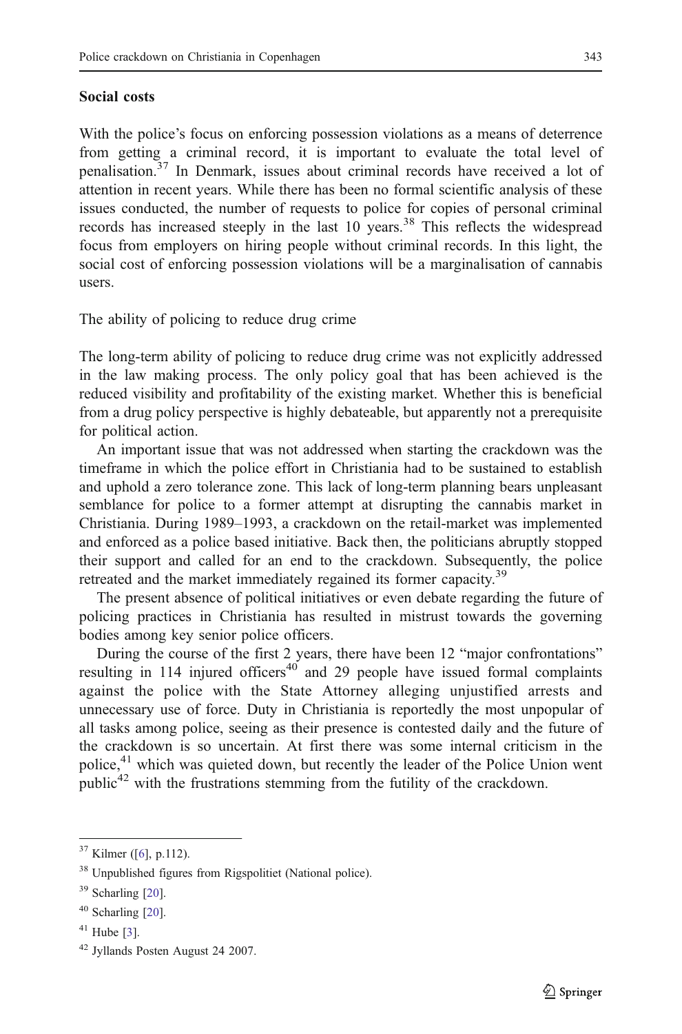#### Social costs

With the police's focus on enforcing possession violations as a means of deterrence from getting a criminal record, it is important to evaluate the total level of penalisation.<sup>37</sup> In Denmark, issues about criminal records have received a lot of attention in recent years. While there has been no formal scientific analysis of these issues conducted, the number of requests to police for copies of personal criminal records has increased steeply in the last 10 years.<sup>38</sup> This reflects the widespread focus from employers on hiring people without criminal records. In this light, the social cost of enforcing possession violations will be a marginalisation of cannabis users.

The ability of policing to reduce drug crime

The long-term ability of policing to reduce drug crime was not explicitly addressed in the law making process. The only policy goal that has been achieved is the reduced visibility and profitability of the existing market. Whether this is beneficial from a drug policy perspective is highly debateable, but apparently not a prerequisite for political action.

An important issue that was not addressed when starting the crackdown was the timeframe in which the police effort in Christiania had to be sustained to establish and uphold a zero tolerance zone. This lack of long-term planning bears unpleasant semblance for police to a former attempt at disrupting the cannabis market in Christiania. During 1989–1993, a crackdown on the retail-market was implemented and enforced as a police based initiative. Back then, the politicians abruptly stopped their support and called for an end to the crackdown. Subsequently, the police retreated and the market immediately regained its former capacity.<sup>39</sup>

The present absence of political initiatives or even debate regarding the future of policing practices in Christiania has resulted in mistrust towards the governing bodies among key senior police officers.

During the course of the first 2 years, there have been 12 "major confrontations" resulting in 114 injured officers<sup>40</sup> and 29 people have issued formal complaints against the police with the State Attorney alleging unjustified arrests and unnecessary use of force. Duty in Christiania is reportedly the most unpopular of all tasks among police, seeing as their presence is contested daily and the future of the crackdown is so uncertain. At first there was some internal criticism in the police,<sup>41</sup> which was quieted down, but recently the leader of the Police Union went public<sup>42</sup> with the frustrations stemming from the futility of the crackdown.

 $37$  Kilmer ([\[6](#page-8-0)], p.112).

<sup>38</sup> Unpublished figures from Rigspolitiet (National police).

<sup>39</sup> Scharling [[20\]](#page-9-0).

<sup>40</sup> Scharling [[20\]](#page-9-0).

 $41$  Hube [[3\]](#page-8-0).

<sup>42</sup> Jyllands Posten August 24 2007.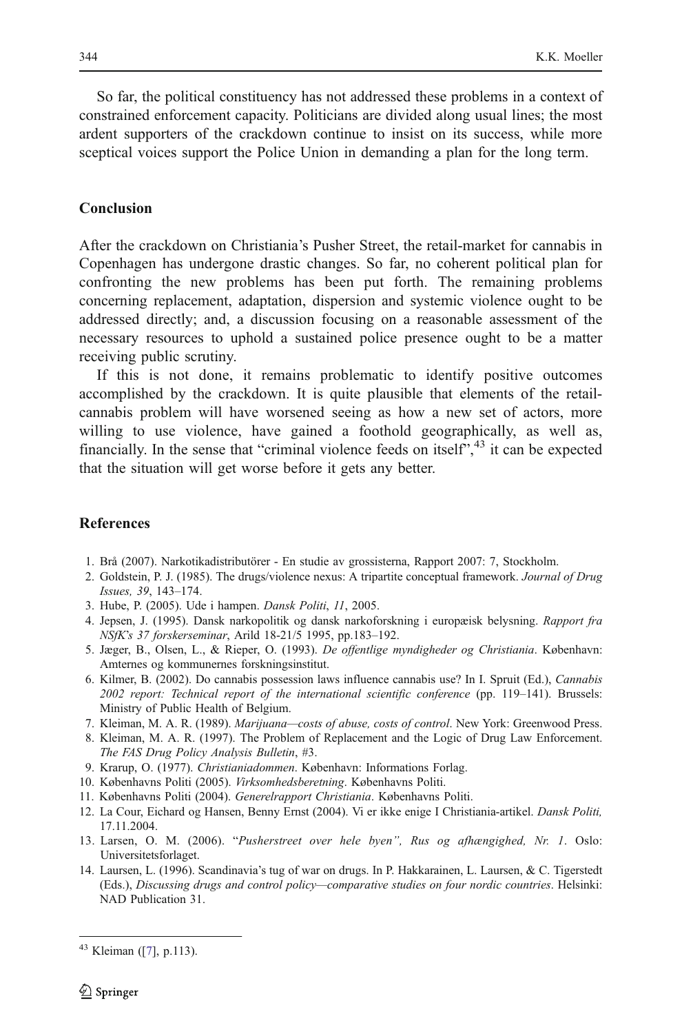<span id="page-8-0"></span>So far, the political constituency has not addressed these problems in a context of constrained enforcement capacity. Politicians are divided along usual lines; the most ardent supporters of the crackdown continue to insist on its success, while more sceptical voices support the Police Union in demanding a plan for the long term.

#### Conclusion

After the crackdown on Christiania's Pusher Street, the retail-market for cannabis in Copenhagen has undergone drastic changes. So far, no coherent political plan for confronting the new problems has been put forth. The remaining problems concerning replacement, adaptation, dispersion and systemic violence ought to be addressed directly; and, a discussion focusing on a reasonable assessment of the necessary resources to uphold a sustained police presence ought to be a matter receiving public scrutiny.

If this is not done, it remains problematic to identify positive outcomes accomplished by the crackdown. It is quite plausible that elements of the retailcannabis problem will have worsened seeing as how a new set of actors, more willing to use violence, have gained a foothold geographically, as well as, financially. In the sense that "criminal violence feeds on itself", <sup>43</sup> it can be expected that the situation will get worse before it gets any better.

#### References

- 1. Brå (2007). Narkotikadistributörer En studie av grossisterna, Rapport 2007: 7, Stockholm.
- 2. Goldstein, P. J. (1985). The drugs/violence nexus: A tripartite conceptual framework. Journal of Drug Issues, 39, 143–174.
- 3. Hube, P. (2005). Ude i hampen. Dansk Politi, 11, 2005.
- 4. Jepsen, J. (1995). Dansk narkopolitik og dansk narkoforskning i europæisk belysning. Rapport fra NSfK's 37 forskerseminar, Arild 18-21/5 1995, pp.183–192.
- 5. Jæger, B., Olsen, L., & Rieper, O. (1993). De offentlige myndigheder og Christiania. København: Amternes og kommunernes forskningsinstitut.
- 6. Kilmer, B. (2002). Do cannabis possession laws influence cannabis use? In I. Spruit (Ed.), Cannabis 2002 report: Technical report of the international scientific conference (pp. 119–141). Brussels: Ministry of Public Health of Belgium.
- 7. Kleiman, M. A. R. (1989). Marijuana—costs of abuse, costs of control. New York: Greenwood Press.
- 8. Kleiman, M. A. R. (1997). The Problem of Replacement and the Logic of Drug Law Enforcement. The FAS Drug Policy Analysis Bulletin, #3.
- 9. Krarup, O. (1977). Christianiadommen. København: Informations Forlag.
- 10. Københavns Politi (2005). Virksomhedsberetning. Københavns Politi.
- 11. Københavns Politi (2004). Generelrapport Christiania. Københavns Politi.
- 12. La Cour, Eichard og Hansen, Benny Ernst (2004). Vi er ikke enige I Christiania-artikel. Dansk Politi, 17.11.2004.
- 13. Larsen, O. M. (2006). "Pusherstreet over hele byen", Rus og afhængighed, Nr. 1. Oslo: Universitetsforlaget.
- 14. Laursen, L. (1996). Scandinavia's tug of war on drugs. In P. Hakkarainen, L. Laursen, & C. Tigerstedt (Eds.), Discussing drugs and control policy—comparative studies on four nordic countries. Helsinki: NAD Publication 31.

<sup>43</sup> Kleiman ([7], p.113).